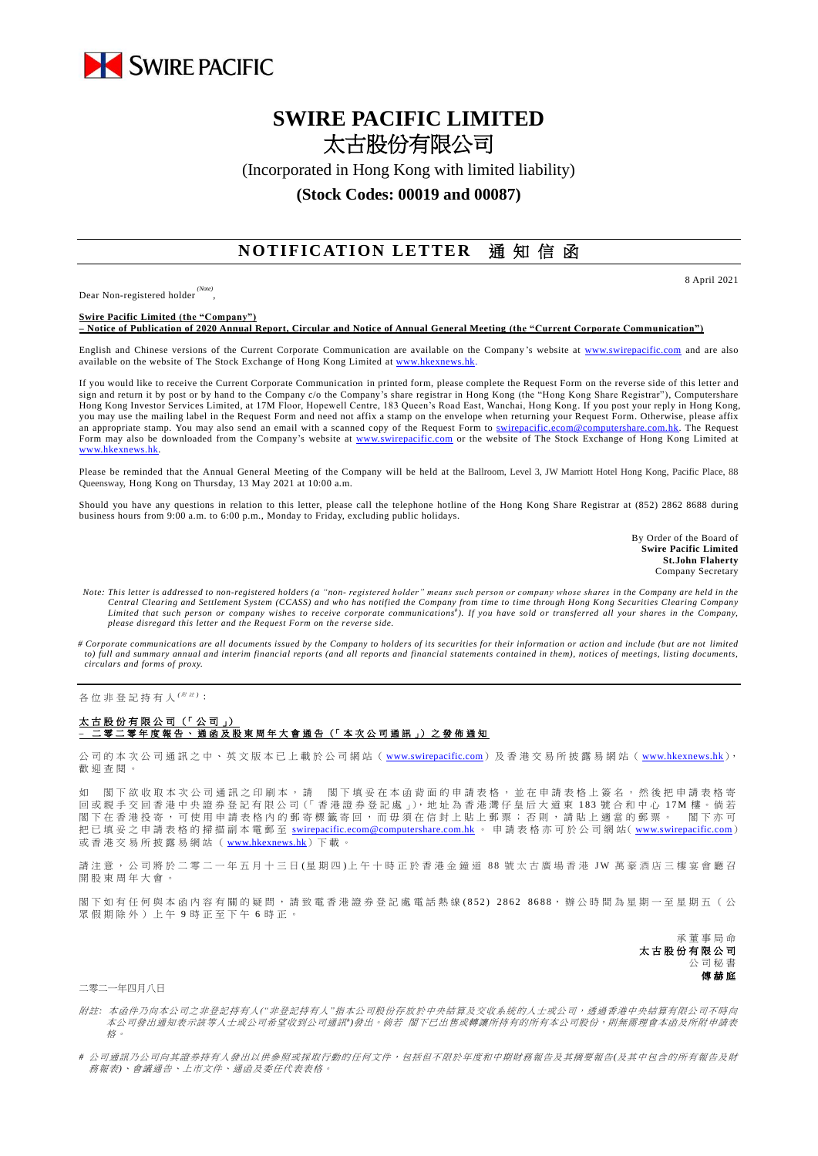

# **SWIRE PACIFIC LIMITED** 太古股份有限公司

(Incorporated in Hong Kong with limited liability)

### **(Stock Codes: 00019 and 00087)**

## **NOTIFICATION LETTER** 通知信函

Dear Non-registered holder *(Note)* , 8 April 2021

**Swire Pacific Limited (the "Company") – Notice of Publication of 2020 Annual Report, Circular and Notice of Annual General Meeting (the "Current Corporate Communication")**

English and Chinese versions of the Current Corporate Communication are available on the Company's website at [www.swirepacific.com](http://www.swirepacific.com/) and are also available on the website of The Stock Exchange of Hong Kong Limited at www.hkexnew

If you would like to receive the Current Corporate Communication in printed form, please complete the Request Form on the reverse side of this letter and sign and return it by post or by hand to the Company c/o the Company's share registrar in Hong Kong (the "Hong Kong Share Registrar"), Computershare Hong Kong Investor Services Limited, at 17M Floor, Hopewell Centre, 183 Queen's Road East, Wanchai, Hong Kong. If you post your reply in Hong Kong, you may use the mailing label in the Request Form and need not affix a stamp on the envelope when returning your Request Form. Otherwise, please affix an appropriate stamp. You may also send an email with a scanned copy of the Request Form to [swirepacific.ecom@computershare.com.hk.](mailto:swirepacific.ecom@computershare.com.hk) The Request Form may also be downloaded from the Company's website at [www.swirepacific.com](http://www.swirepacific.com/) or the website of The Stock Exchange of Hong Kong Limited at [www.hkexnews.hk.](http://www.hkexnews.hk/)

Please be reminded that the Annual General Meeting of the Company will be held at the Ballroom, Level 3, JW Marriott Hotel Hong Kong, Pacific Place, 88 Queensway, Hong Kong on Thursday, 13 May 2021 at 10:00 a.m.

Should you have any questions in relation to this letter, please call the telephone hotline of the Hong Kong Share Registrar at (852) 2862 8688 during business hours from 9:00 a.m. to 6:00 p.m., Monday to Friday, excluding public holidays.

> By Order of the Board of **Swire Pacific Limited St.John Flaherty** Company Secretary

- *Note: This letter is addressed to non-registered holders (a "non- registered holder" means such person or company whose shares in the Company are held in the*  Central Clearing and Settlement System (CCASS) and who has notified the Company from time to time through Hong Kong Securities Clearing Company<br>Limited that such person or company wishes to receive corporate communications *please disregard this letter and the Request Form on the reverse side.*
- *# Corporate communications are all documents issued by the Company to holders of its securities for their information or action and include (but are not limited to) full and summary annual and interim financial reports (and all reports and financial statements contained in them), notices of meetings, listing documents, circulars and forms of proxy.*

各位非登記持有人<sup>( ##)</sup>:

#### 太古股份有限公司 (「公司」) **–** 二 零 二 零 年度報告 、通函 及 股 東 周 年 大 會 通 告 (「 本 次 公 司 通 訊 」) 之 發 佈 通 知

公司的本次公司通訊之中、英文版本已上載於公司網站 ([www.swirepacific.com](http://www.swirepacific.com/)) 及香港交易所披露易網站 ([www.hkexnews.hk](http://www.hkexnews.hk/)), 歡 迎 查閱。

如 閣下欲收取本次公司通訊之印刷本,請 閣下填妥在本函背面的申請表格,並在申請表格上簽名,然後把申請表格寄 回 或親手交回 香 港 中 央 證 券 登 記 有 限 公 司(「 香 港 證 券 登 記 處 」), 地 址 為 香 港 灣 仔 皇 后 大 道 東 1 8 3 號合和中心 1 7 M 樓 。 倘 若 閣下在香港投寄,可使用申請表格內的郵寄標籤寄回,而毋須在信封上貼上郵票;否則,請貼上適當的郵票。 閣下亦可 把已填妥之申請表格的掃描副本電郵至 [swirepacific.ecom@computershare.com.hk](mailto:swirepacific.ecom@computershare.com.hk) 。 申請表格亦可於公司網站( [www.swirepacific.com](http://www.swirepacific.com/)) 或香港交易所披露易網站 ( [www.hkexnews.hk](http://www.hkexnews.hk/)) 下載

請注意, 公司將於二零二一年五月十三日(星期四)上午十時正於香港金鐘道 88 號太古廣場香港 JW 萬豪酒店三樓宴會廳召 開股東周年大會

閣下如有任何與本函內容有關的疑問,請致電香港證券登記處電話熱線 (852) 2862 8688,辦公時間為星期一至星期五(公 眾假期除外)上午 9 時正至下午 6 時正。

> 承董事 局 命 太古股份有限公司 公司秘書 傅赫庭

### 二零二一年四月八日

附註*:* 本函件乃向本公司之非登記持有人*("*非登記持有人*"*指本公司股份存放於中央結算及交收系統的人士或公司,透過香港中央結算有限公司不時向 本公司發出通知表示該等人士或公司希望收到公司通訊")發出。倘若 閣下已出售或轉讓所持有的所有本公司股份,則無需理會本函及所附申請表 格。

*#* 公司通訊乃公司向其證券持有人發出以供參照或採取行動的任何文件,包括但不限於年度和中期財務報告及其摘要報告*(*及其中包含的所有報告及財 務報表*)*、會議通告、上市文件、通函及委任代表表格。